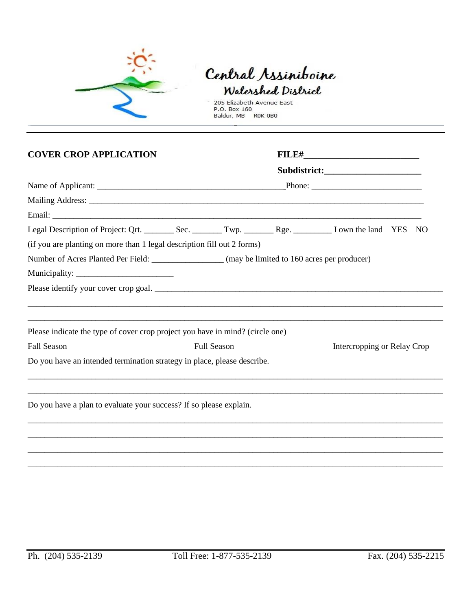

## Central Assiniboine Watershed District

205 Elizabeth Avenue East<br>P.O. Box 160<br>Baldur, MB ROK 0B0

| <b>COVER CROP APPLICATION</b>                                                 |                                                                                                  |  | <b>FILE#________________________________</b> |  |  |
|-------------------------------------------------------------------------------|--------------------------------------------------------------------------------------------------|--|----------------------------------------------|--|--|
|                                                                               |                                                                                                  |  |                                              |  |  |
|                                                                               |                                                                                                  |  |                                              |  |  |
|                                                                               |                                                                                                  |  |                                              |  |  |
|                                                                               |                                                                                                  |  |                                              |  |  |
|                                                                               |                                                                                                  |  |                                              |  |  |
| (if you are planting on more than 1 legal description fill out 2 forms)       |                                                                                                  |  |                                              |  |  |
|                                                                               | Number of Acres Planted Per Field: __________________ (may be limited to 160 acres per producer) |  |                                              |  |  |
|                                                                               |                                                                                                  |  |                                              |  |  |
|                                                                               |                                                                                                  |  |                                              |  |  |
| Please indicate the type of cover crop project you have in mind? (circle one) |                                                                                                  |  |                                              |  |  |
| <b>Fall Season</b>                                                            | <b>Full Season</b>                                                                               |  | Intercropping or Relay Crop                  |  |  |
| Do you have an intended termination strategy in place, please describe.       |                                                                                                  |  |                                              |  |  |
|                                                                               |                                                                                                  |  |                                              |  |  |
|                                                                               |                                                                                                  |  |                                              |  |  |
| Do you have a plan to evaluate your success? If so please explain.            |                                                                                                  |  |                                              |  |  |
|                                                                               |                                                                                                  |  |                                              |  |  |
|                                                                               |                                                                                                  |  |                                              |  |  |

\_\_\_\_\_\_\_\_\_\_\_\_\_\_\_\_\_\_\_\_\_\_\_\_\_\_\_\_\_\_\_\_\_\_\_\_\_\_\_\_\_\_\_\_\_\_\_\_\_\_\_\_\_\_\_\_\_\_\_\_\_\_\_\_\_\_\_\_\_\_\_\_\_\_\_\_\_\_\_\_\_\_\_\_\_\_\_\_\_\_\_\_\_\_\_\_\_\_